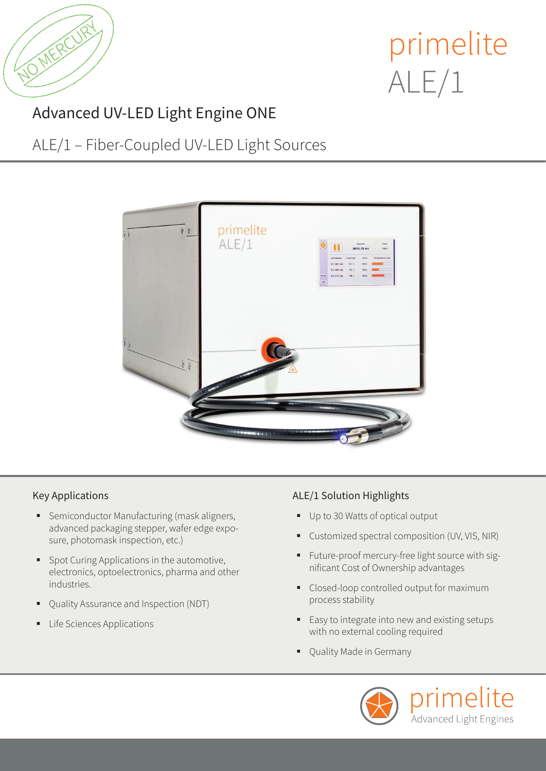

# primelite ALE/1

### Advanced UV-LED Light Engine ONE

### ALE/1 – Fiber-Coupled UV-LED Light Sources



### Key Applications

- **Semiconductor Manufacturing (mask aligners,** advanced packaging stepper, wafer edge exposure, photomask inspection, etc.)
- **Spot Curing Applications in the automotive,** electronics, optoelectronics, pharma and other industries.
- Quality Assurance and Inspection (NDT)
- **Life Sciences Applications**

### ALE/1 Solution Highlights

- Up to 30 Watts of optical output
- Customized spectral composition (UV, VIS, NIR)
- Future-proof mercury-free light source with significant Cost of Ownership advantages
- Closed-loop controlled output for maximum process stability
- Easy to integrate into new and existing setups with no external cooling required
- Quality Made in Germany

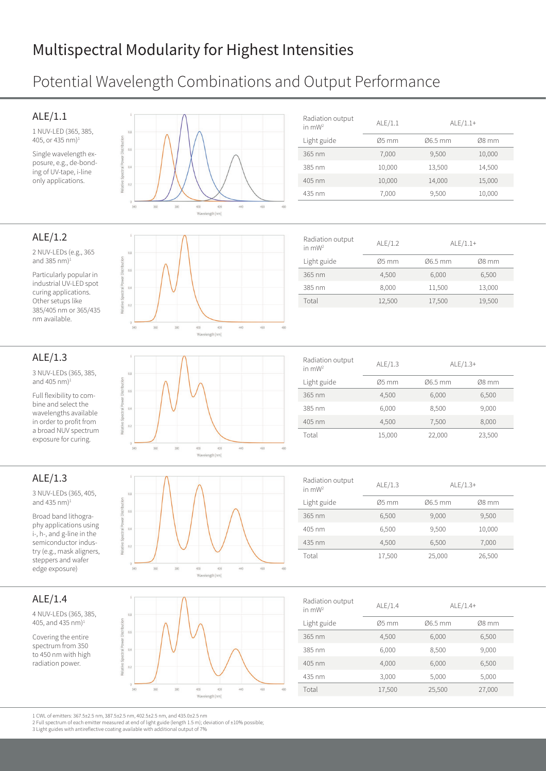### Multispectral Modularity for Highest Intensities

### Potential Wavelength Combinations and Output Performance

#### ALE/1.1

ALE/1.2

2 NUV-LEDs (e.g., 365 and 385 nm) $1$ 

Particularly popular in industrial UV-LED spot curing applications. Other setups like 385/405 nm or 365/435 nm available.

1 NUV-LED (365, 385, 405, or 435 nm)1

Single wavelength exposure, e.g., de-bonding of UV-tape, i-line only applications.





#### tral Powe  $\ddot{\theta}$  $\overline{0}$ 340  $\overline{38}$ 400 460 Wavelength (nm)

| Radiation output<br>in $mW2$ | ALE/1.2            | $ALE/1.1+$ |        |
|------------------------------|--------------------|------------|--------|
| Light guide                  | $\varnothing$ 5 mm | Ø6.5 mm    | Ø8 mm  |
| 365 nm                       | 4,500              | 6,000      | 6,500  |
| 385 nm                       | 8.000              | 11,500     | 13,000 |
| Total                        | 12,500             | 17,500     | 19,500 |

#### ALE/1.3 3 NUV-LEDs (365, 385, and 405 nm) $<sup>1</sup>$ </sup> Full flexibility to combine and select the  $\overline{0}$ wavelengths available in order to profit from  $0.3$ a broad NUV spectrum

### ALE/1.3

3 NUV-LEDs (365, 405, and 435 nm) $1$ 

exposure for curing.

Broad band lithography applications using i-, h-, and g-line in the semiconductor industry (e.g., mask aligners, steppers and wafer edge exposure)

### ALE/1.4

4 NUV-LEDs (365, 385, 405, and 435 nm)<sup>1</sup>

Covering the entire spectrum from 350 to 450 nm with high radiation power.







| Radiation output<br>in $mW2$ | ALE/1.3            | $ALE/1.3+$ |         |
|------------------------------|--------------------|------------|---------|
| Light guide                  | $\varnothing$ 5 mm | Ø6.5 mm    | $Ø8$ mm |
| 365 nm                       | 4.500              | 6,000      | 6,500   |
| 385 nm                       | 6.000              | 8,500      | 9,000   |
| 405 nm                       | 4.500              | 7,500      | 8,000   |
| Total                        | 15,000             | 22,000     | 23,500  |
|                              |                    |            |         |

| Radiation output<br>in $mW2$ | ALE/1.3            | $ALE/1.3+$ |         |
|------------------------------|--------------------|------------|---------|
| Light guide                  | $\varnothing$ 5 mm | Ø6.5 mm    | $Ø8$ mm |
| 365 nm                       | 6,500              | 9,000      | 9,500   |
| $405 \text{ nm}$             | 6.500              | 9,500      | 10,000  |
| $435 \text{ nm}$             | 4.500              | 6,500      | 7,000   |
| Total                        | 17,500             | 25,000     | 26,500  |

| Radiation output<br>in $mW2$ | ALE/1.4            | $ALE/1.4+$ |         |
|------------------------------|--------------------|------------|---------|
| Light guide                  | $\varnothing$ 5 mm | Ø6.5 mm    | $Ø8$ mm |
| 365 nm                       | 4,500              | 6,000      | 6,500   |
| 385 nm                       | 6,000              | 8,500      | 9,000   |
| $405 \text{ nm}$             | 4,000              | 6,000      | 6,500   |
| 435 nm                       | 3,000              | 5,000      | 5,000   |
| Total                        | 17,500             | 25,500     | 27,000  |

1 CWL of emitters: 367.5±2.5 nm, 387.5±2.5 nm, 402.5±2.5 nm, and 435.0±2.5 nm 2 Full spectrum of each emitter measured at end of light guide (length 1.5 m); deviation of ±10% possible;

3 Light guides with antireflective coating available with additional output of 7%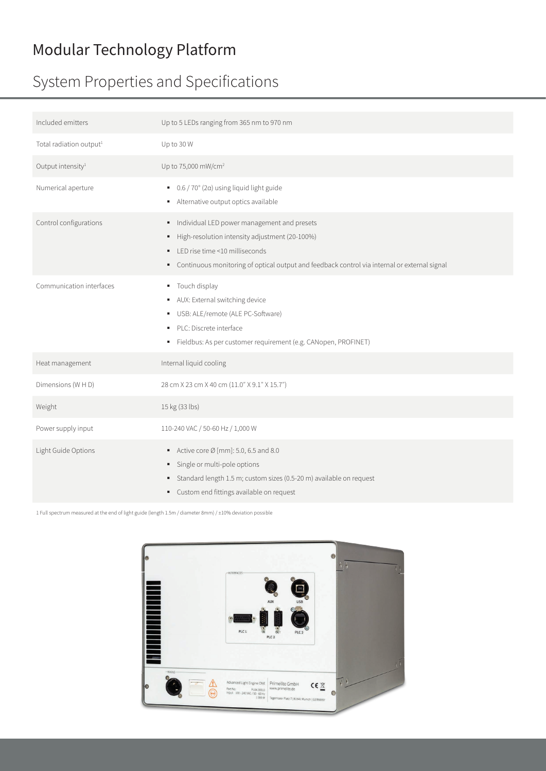### Modular Technology Platform

### System Properties and Specifications

| Included emitters                   | Up to 5 LEDs ranging from 365 nm to 970 nm                                                                                                                                                                                          |
|-------------------------------------|-------------------------------------------------------------------------------------------------------------------------------------------------------------------------------------------------------------------------------------|
| Total radiation output <sup>1</sup> | Up to 30 W                                                                                                                                                                                                                          |
| Output intensity <sup>1</sup>       | Up to 75,000 mW/cm <sup>2</sup>                                                                                                                                                                                                     |
| Numerical aperture                  | $\bullet$ 0.6 / 70° (2 $\alpha$ ) using liquid light guide<br>Alternative output optics available                                                                                                                                   |
| Control configurations              | Individual LED power management and presets<br>High-resolution intensity adjustment (20-100%)<br>• LED rise time <10 milliseconds<br>• Continuous monitoring of optical output and feedback control via internal or external signal |
| Communication interfaces            | " Touch display<br>AUX: External switching device<br>USB: ALE/remote (ALE PC-Software)<br>· PLC: Discrete interface<br>Fieldbus: As per customer requirement (e.g. CANopen, PROFINET)                                               |
| Heat management                     | Internal liquid cooling                                                                                                                                                                                                             |
| Dimensions (W H D)                  | 28 cm X 23 cm X 40 cm (11.0" X 9.1" X 15.7")                                                                                                                                                                                        |
| Weight                              | 15 kg (33 lbs)                                                                                                                                                                                                                      |
| Power supply input                  | 110-240 VAC / 50-60 Hz / 1,000 W                                                                                                                                                                                                    |
| Light Guide Options                 | Active core $\varnothing$ [mm]: 5.0, 6.5 and 8.0<br>· Single or multi-pole options<br>Standard length 1.5 m; custom sizes (0.5-20 m) available on request<br>٠<br>• Custom end fittings available on request                        |

1 Full spectrum measured at the end of light guide (length 1.5m / diameter 8mm) / ±10% deviation possible